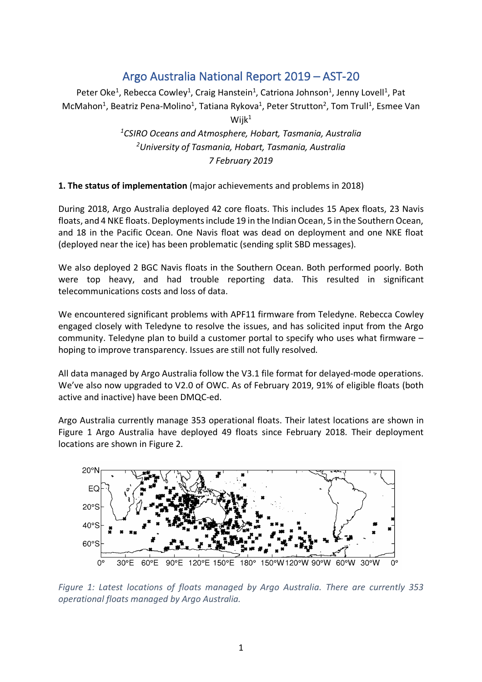# Argo Australia National Report 2019 – AST-20

Peter Oke<sup>1</sup>, Rebecca Cowley<sup>1</sup>, Craig Hanstein<sup>1</sup>, Catriona Johnson<sup>1</sup>, Jenny Lovell<sup>1</sup>, Pat McMahon<sup>1</sup>, Beatriz Pena-Molino<sup>1</sup>, Tatiana Rykova<sup>1</sup>, Peter Strutton<sup>2</sup>, Tom Trull<sup>1</sup>, Esmee Van

 $W$ iik $1$ 

*1 CSIRO Oceans and Atmosphere, Hobart, Tasmania, Australia 2 University of Tasmania, Hobart, Tasmania, Australia 7 February 2019*

## **1. The status of implementation** (major achievements and problems in 2018)

During 2018, Argo Australia deployed 42 core floats. This includes 15 Apex floats, 23 Navis floats, and 4 NKE floats. Deployments include 19 in the Indian Ocean, 5 in the Southern Ocean, and 18 in the Pacific Ocean. One Navis float was dead on deployment and one NKE float (deployed near the ice) has been problematic (sending split SBD messages).

We also deployed 2 BGC Navis floats in the Southern Ocean. Both performed poorly. Both were top heavy, and had trouble reporting data. This resulted in significant telecommunications costs and loss of data.

We encountered significant problems with APF11 firmware from Teledyne. Rebecca Cowley engaged closely with Teledyne to resolve the issues, and has solicited input from the Argo community. Teledyne plan to build a customer portal to specify who uses what firmware – hoping to improve transparency. Issues are still not fully resolved.

All data managed by Argo Australia follow the V3.1 file format for delayed-mode operations. We've also now upgraded to V2.0 of OWC. As of February 2019, 91% of eligible floats (both active and inactive) have been DMQC-ed.

Argo Australia currently manage 353 operational floats. Their latest locations are shown in Figure 1 Argo Australia have deployed 49 floats since February 2018. Their deployment locations are shown in Figure 2.



*Figure 1: Latest locations of floats managed by Argo Australia. There are currently 353 operational floats managed by Argo Australia.*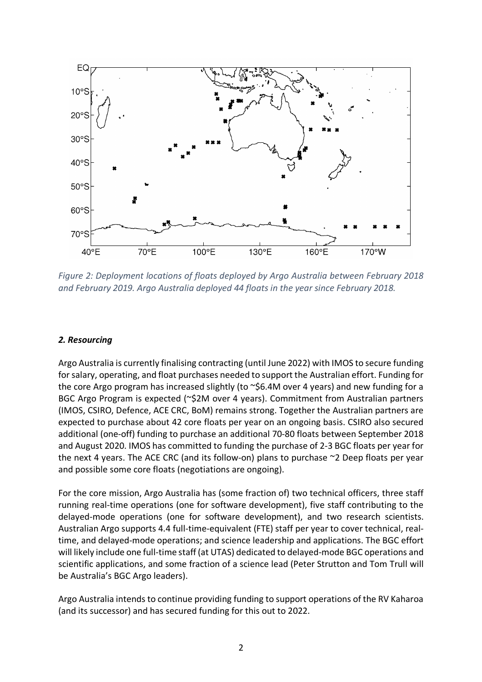

*Figure 2: Deployment locations of floats deployed by Argo Australia between February 2018 and February 2019. Argo Australia deployed 44 floats in the year since February 2018.*

# *2. Resourcing*

Argo Australia is currently finalising contracting (until June 2022) with IMOS to secure funding for salary, operating, and float purchases needed to support the Australian effort. Funding for the core Argo program has increased slightly (to  $\sim$ \$6.4M over 4 years) and new funding for a BGC Argo Program is expected (~\$2M over 4 years). Commitment from Australian partners (IMOS, CSIRO, Defence, ACE CRC, BoM) remains strong. Together the Australian partners are expected to purchase about 42 core floats per year on an ongoing basis. CSIRO also secured additional (one-off) funding to purchase an additional 70-80 floats between September 2018 and August 2020. IMOS has committed to funding the purchase of 2-3 BGC floats per year for the next 4 years. The ACE CRC (and its follow-on) plans to purchase ~2 Deep floats per year and possible some core floats (negotiations are ongoing).

For the core mission, Argo Australia has (some fraction of) two technical officers, three staff running real-time operations (one for software development), five staff contributing to the delayed-mode operations (one for software development), and two research scientists. Australian Argo supports 4.4 full-time-equivalent (FTE) staff per year to cover technical, realtime, and delayed-mode operations; and science leadership and applications. The BGC effort will likely include one full-time staff (at UTAS) dedicated to delayed-mode BGC operations and scientific applications, and some fraction of a science lead (Peter Strutton and Tom Trull will be Australia's BGC Argo leaders).

Argo Australia intends to continue providing funding to support operations of the RV Kaharoa (and its successor) and has secured funding for this out to 2022.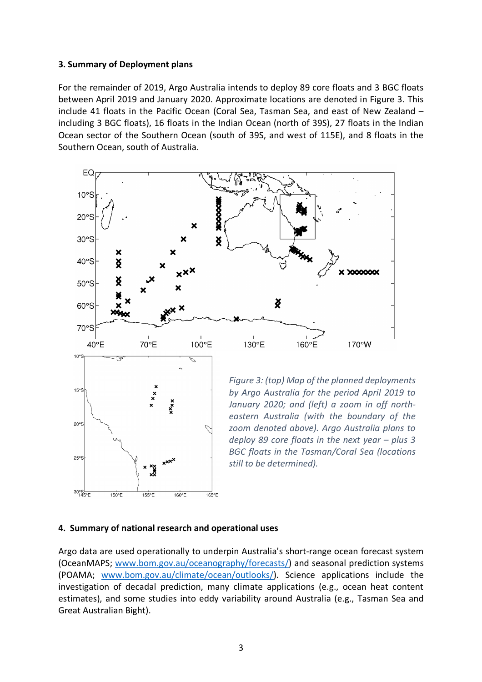#### **3. Summary of Deployment plans**

For the remainder of 2019, Argo Australia intends to deploy 89 core floats and 3 BGC floats between April 2019 and January 2020. Approximate locations are denoted in Figure 3. This include 41 floats in the Pacific Ocean (Coral Sea, Tasman Sea, and east of New Zealand – including 3 BGC floats), 16 floats in the Indian Ocean (north of 39S), 27 floats in the Indian Ocean sector of the Southern Ocean (south of 39S, and west of 115E), and 8 floats in the Southern Ocean, south of Australia.



## **4. Summary of national research and operational uses**

Argo data are used operationally to underpin Australia's short-range ocean forecast system (OceanMAPS; www.bom.gov.au/oceanography/forecasts/) and seasonal prediction systems (POAMA; www.bom.gov.au/climate/ocean/outlooks/). Science applications include the investigation of decadal prediction, many climate applications (e.g., ocean heat content estimates), and some studies into eddy variability around Australia (e.g., Tasman Sea and Great Australian Bight).